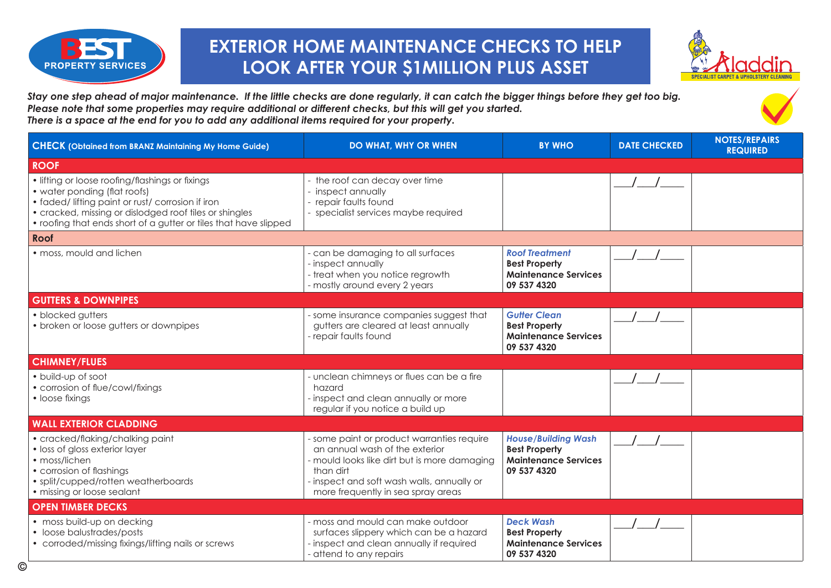

## **EXTERIOR HOME MAINTENANCE CHECKS TO HELP LOOK AFTER YOUR \$1MILLION PLUS ASSET**



*Stay one step ahead of major maintenance. If the little checks are done regularly, it can catch the bigger things before they get too big. Please note that some properties may require additional or different checks, but this will get you started. There is a space at the end for you to add any additional items required for your property.*

| <b>CHECK (Obtained from BRANZ Maintaining My Home Guide)</b>                                                                                                                                                                                                       | <b>DO WHAT, WHY OR WHEN</b>                                                                                                                                                                                                   | <b>BY WHO</b>                                                                                    | <b>DATE CHECKED</b> | <b>NOTES/REPAIRS</b><br><b>REQUIRED</b> |
|--------------------------------------------------------------------------------------------------------------------------------------------------------------------------------------------------------------------------------------------------------------------|-------------------------------------------------------------------------------------------------------------------------------------------------------------------------------------------------------------------------------|--------------------------------------------------------------------------------------------------|---------------------|-----------------------------------------|
| <b>ROOF</b>                                                                                                                                                                                                                                                        |                                                                                                                                                                                                                               |                                                                                                  |                     |                                         |
| • lifting or loose roofing/flashings or fixings<br>• water ponding (flat roofs)<br>• faded/ lifting paint or rust/ corrosion if iron<br>• cracked, missing or dislodged roof tiles or shingles<br>• roofing that ends short of a gutter or tiles that have slipped | - the roof can decay over time<br>- inspect annually<br>- repair faults found<br>- specialist services maybe required                                                                                                         |                                                                                                  |                     |                                         |
| Roof                                                                                                                                                                                                                                                               |                                                                                                                                                                                                                               |                                                                                                  |                     |                                         |
| · moss, mould and lichen                                                                                                                                                                                                                                           | - can be damaging to all surfaces<br>- inspect annually<br>- treat when you notice regrowth<br>- mostly around every 2 years                                                                                                  | <b>Roof Treatment</b><br><b>Best Property</b><br><b>Maintenance Services</b><br>09 537 4320      |                     |                                         |
| <b>GUTTERS &amp; DOWNPIPES</b>                                                                                                                                                                                                                                     |                                                                                                                                                                                                                               |                                                                                                  |                     |                                         |
| • blocked gutters<br>• broken or loose gutters or downpipes                                                                                                                                                                                                        | - some insurance companies suggest that<br>gutters are cleared at least annually<br>- repair faults found                                                                                                                     | <b>Gutter Clean</b><br><b>Best Property</b><br><b>Maintenance Services</b><br>09 537 4320        |                     |                                         |
| <b>CHIMNEY/FLUES</b>                                                                                                                                                                                                                                               |                                                                                                                                                                                                                               |                                                                                                  |                     |                                         |
| • build-up of soot<br>• corrosion of flue/cowl/fixings<br>• loose fixings                                                                                                                                                                                          | - unclean chimneys or flues can be a fire<br>hazard<br>- inspect and clean annually or more<br>regular if you notice a build up                                                                                               |                                                                                                  |                     |                                         |
| <b>WALL EXTERIOR CLADDING</b>                                                                                                                                                                                                                                      |                                                                                                                                                                                                                               |                                                                                                  |                     |                                         |
| • cracked/flaking/chalking paint<br>• loss of gloss exterior layer<br>• moss/lichen<br>• corrosion of flashings<br>• split/cupped/rotten weatherboards<br>· missing or loose sealant                                                                               | - some paint or product warranties require<br>an annual wash of the exterior<br>- mould looks like dirt but is more damaging<br>than dirt<br>- inspect and soft wash walls, annually or<br>more frequently in sea spray areas | <b>House/Building Wash</b><br><b>Best Property</b><br><b>Maintenance Services</b><br>09 537 4320 |                     |                                         |
| <b>OPEN TIMBER DECKS</b>                                                                                                                                                                                                                                           |                                                                                                                                                                                                                               |                                                                                                  |                     |                                         |
| • moss build-up on decking<br>• loose balustrades/posts<br>• corroded/missing fixings/lifting nails or screws                                                                                                                                                      | - moss and mould can make outdoor<br>surfaces slippery which can be a hazard<br>- inspect and clean annually if required<br>- attend to any repairs                                                                           | <b>Deck Wash</b><br><b>Best Property</b><br><b>Maintenance Services</b><br>09 537 4320           |                     |                                         |